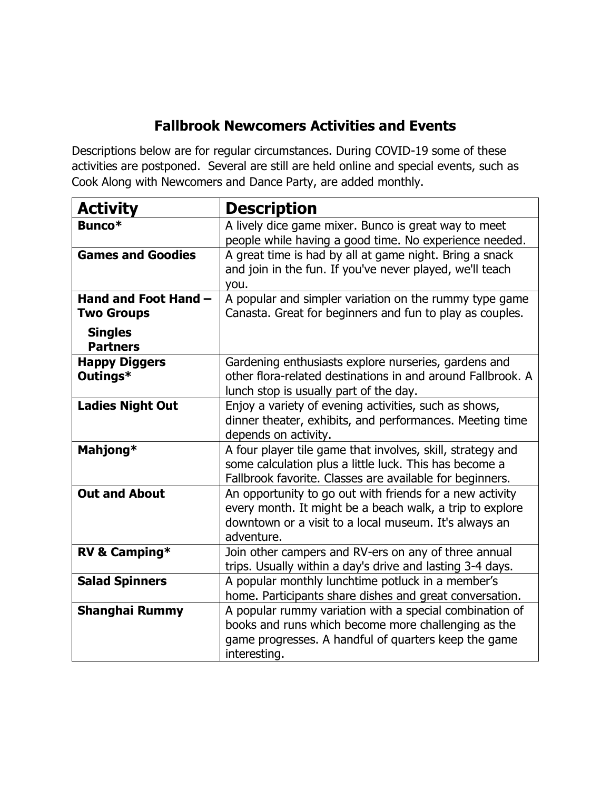## **Fallbrook Newcomers Activities and Events**

Descriptions below are for regular circumstances. During COVID-19 some of these activities are postponed. Several are still are held online and special events, such as Cook Along with Newcomers and Dance Party, are added monthly.

| <b>Activity</b>                   | <b>Description</b>                                                                                                                                                                          |
|-----------------------------------|---------------------------------------------------------------------------------------------------------------------------------------------------------------------------------------------|
| Bunco*                            | A lively dice game mixer. Bunco is great way to meet<br>people while having a good time. No experience needed.                                                                              |
| <b>Games and Goodies</b>          | A great time is had by all at game night. Bring a snack<br>and join in the fun. If you've never played, we'll teach<br>you.                                                                 |
| Hand and Foot Hand -              | A popular and simpler variation on the rummy type game                                                                                                                                      |
| <b>Two Groups</b>                 | Canasta. Great for beginners and fun to play as couples.                                                                                                                                    |
| <b>Singles</b><br><b>Partners</b> |                                                                                                                                                                                             |
| <b>Happy Diggers</b><br>Outings*  | Gardening enthusiasts explore nurseries, gardens and<br>other flora-related destinations in and around Fallbrook. A<br>lunch stop is usually part of the day.                               |
| <b>Ladies Night Out</b>           | Enjoy a variety of evening activities, such as shows,<br>dinner theater, exhibits, and performances. Meeting time<br>depends on activity.                                                   |
| Mahjong*                          | A four player tile game that involves, skill, strategy and<br>some calculation plus a little luck. This has become a<br>Fallbrook favorite. Classes are available for beginners.            |
| <b>Out and About</b>              | An opportunity to go out with friends for a new activity<br>every month. It might be a beach walk, a trip to explore<br>downtown or a visit to a local museum. It's always an<br>adventure. |
| RV & Camping*                     | Join other campers and RV-ers on any of three annual<br>trips. Usually within a day's drive and lasting 3-4 days.                                                                           |
| <b>Salad Spinners</b>             | A popular monthly lunchtime potluck in a member's<br>home. Participants share dishes and great conversation.                                                                                |
| <b>Shanghai Rummy</b>             | A popular rummy variation with a special combination of<br>books and runs which become more challenging as the<br>game progresses. A handful of quarters keep the game<br>interesting.      |